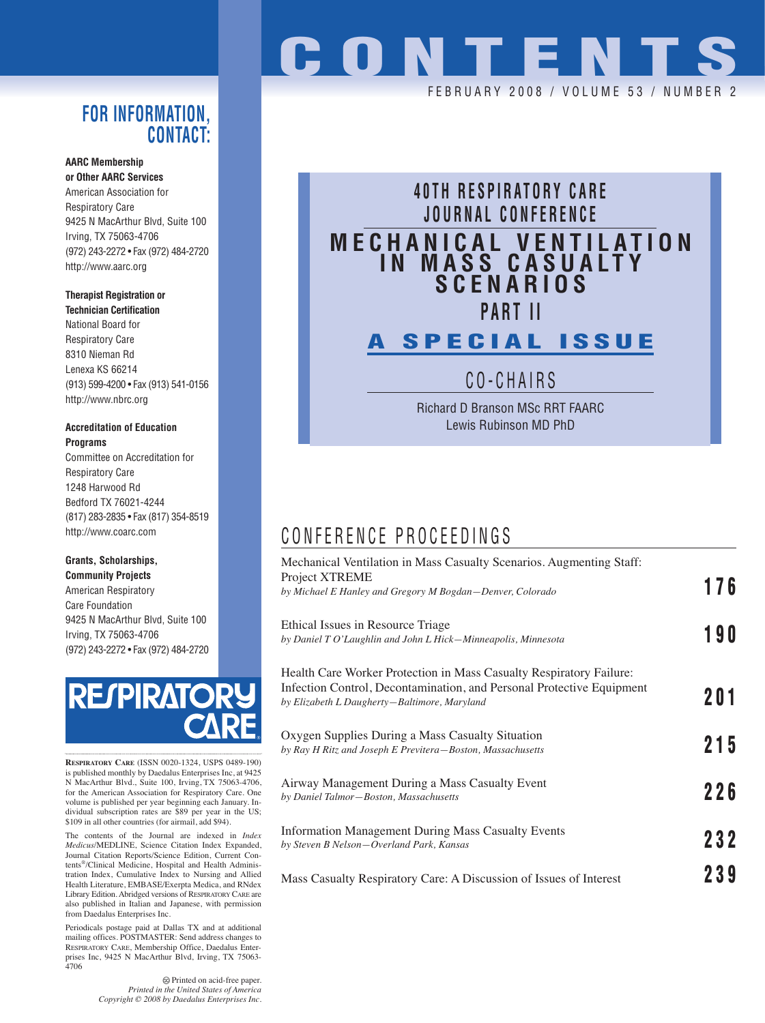### **FOR INFORMATION, CONTACT:**

#### **AARC Membership or Other AARC Services**

American Association for Respiratory Care 9425 N MacArthur Blvd, Suite 100 Irving, TX 75063-4706 (972) 243-2272 • Fax (972) 484-2720 http://www.aarc.org

#### **Therapist Registration or**

**Technician Certification** National Board for Respiratory Care 8310 Nieman Rd Lenexa KS 66214 (913) 599-4200 • Fax (913) 541-0156 http://www.nbrc.org

#### **Accreditation of Education Programs**

Committee on Accreditation for Respiratory Care 1248 Harwood Rd Bedford TX 76021-4244 (817) 283-2835 • Fax (817) 354-8519 http://www.coarc.com

#### **Grants, Scholarships, Community Projects**

American Respiratory Care Foundation 9425 N MacArthur Blvd, Suite 100 Irving, TX 75063-4706 (972) 243-2272 • Fax (972) 484-2720



**RESPIRATORY CARE** (ISSN 0020-1324, USPS 0489-190) is published monthly by Daedalus Enterprises Inc, at 9425 N MacArthur Blvd., Suite 100, Irving, TX 75063-4706, for the American Association for Respiratory Care. One volume is published per year beginning each January. In-dividual subscription rates are \$89 per year in the US; \$109 in all other countries (for airmail, add \$94).

The contents of the Journal are indexed in *Index Medicus*/MEDLINE, Science Citation Index Expanded, Journal Citation Reports/Science Edition, Current Contents®/Clinical Medicine, Hospital and Health Administration Index, Cumulative Index to Nursing and Allied Health Literature, EMBASE/Exerpta Medica, and RNdex Library Edition. Abridged versions of RESPIRATORY CARE are also published in Italian and Japanese, with permission from Daedalus Enterprises Inc.

Periodicals postage paid at Dallas TX and at additional mailing offices. POSTMASTER: Send address changes to RESPIRATORY CARE, Membership Office, Daedalus Enterprises Inc, 9425 N MacArthur Blvd, Irving, TX 75063- 4706

> Printed on acid-free paper. *Printed in the United States of America Copyright © 2008 by Daedalus Enterprises Inc.*

# **CONTENTS**

FEBRUARY 2008 / VOLUME 53 / NUMBER 2

# **40TH RESPIRATORY CARE JOURNAL CONFERENCE MECHANICAL VENTILATION IN MASS CASUALTY SCENARIOS PART II A SPECIAL ISSUE**

CO-CHAIRS

Richard D Branson MSc RRT FAARC Lewis Rubinson MD PhD

## CONFERENCE PROCEEDINGS

| Mechanical Ventilation in Mass Casualty Scenarios. Augmenting Staff:<br>Project XTREME                                                                                                       | 176 |
|----------------------------------------------------------------------------------------------------------------------------------------------------------------------------------------------|-----|
| by Michael E Hanley and Gregory M Bogdan-Denver, Colorado                                                                                                                                    |     |
| Ethical Issues in Resource Triage<br>by Daniel T O'Laughlin and John L Hick-Minneapolis, Minnesota                                                                                           | 190 |
| Health Care Worker Protection in Mass Casualty Respiratory Failure:<br>Infection Control, Decontamination, and Personal Protective Equipment<br>by Elizabeth L Daugherty-Baltimore, Maryland | 201 |
| Oxygen Supplies During a Mass Casualty Situation<br>by Ray H Ritz and Joseph E Previtera-Boston, Massachusetts                                                                               | 215 |
| Airway Management During a Mass Casualty Event<br>by Daniel Talmor-Boston, Massachusetts                                                                                                     | 226 |
| <b>Information Management During Mass Casualty Events</b><br>by Steven B Nelson-Overland Park, Kansas                                                                                        | 232 |
| Mass Casualty Respiratory Care: A Discussion of Issues of Interest                                                                                                                           | 239 |